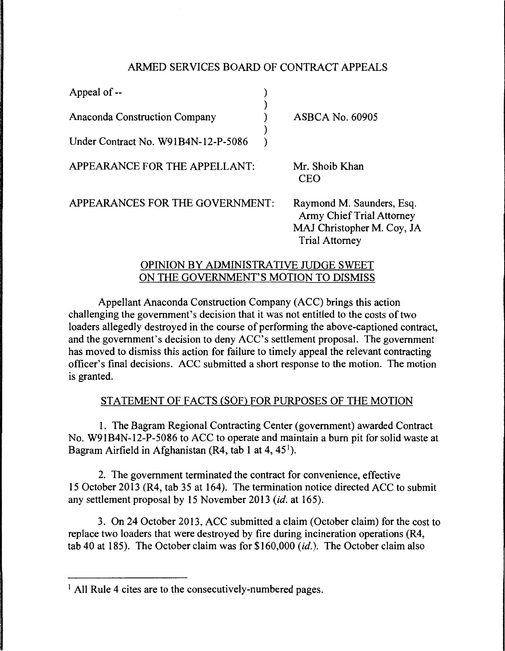# ARMED SERVICES BOARD OF CONTRACT APPEALS

| Appeal of --                         |                                                                                                                      |
|--------------------------------------|----------------------------------------------------------------------------------------------------------------------|
| <b>Anaconda Construction Company</b> | <b>ASBCA No. 60905</b>                                                                                               |
| Under Contract No. W91B4N-12-P-5086  |                                                                                                                      |
| APPEARANCE FOR THE APPELLANT:        | Mr. Shoib Khan<br><b>CEO</b>                                                                                         |
| APPEARANCES FOR THE GOVERNMENT:      | Raymond M. Saunders, Esq.<br><b>Army Chief Trial Attorney</b><br>MAJ Christopher M. Coy, JA<br><b>Trial Attorney</b> |

### OPINION BY ADMINISTRATIVE JUDGE SWEET ON THE GOVERNMENT'S MOTION TO DISMISS

Appellant Anaconda Construction Company (ACC) brings this action challenging the government's decision that it was not entitled to the costs of two loaders allegedly destroyed in the course of performing the above-captioned contract, and the government's decision to deny ACC's settlement proposal. The government has moved to dismiss this action for failure to timely appeal the relevant contracting officer's final decisions. ACC submitted a short response to the motion. The motion is granted.

# STATEMENT OF FACTS (SOF) FOR PURPOSES OF THE MOTION

1. The Bagram Regional Contracting Center (government) awarded Contract No. W91B4N-12-P-5086 to ACC to operate and maintain a burn pit for solid waste at Bagram Airfield in Afghanistan  $(R4, tab 1$  at  $4, 45<sup>1</sup>$ ).

2. The government terminated the contract for convenience, effective 15 October 2013 (R4, tab 35 at 164). The termination notice directed ACC to submit any settlement proposal by 15 November 2013 *(id.* at 165).

3. On 24 October 2013, ACC submitted a claim (October claim) for the cost to replace two loaders that were destroyed by fire during incineration operations (R4, tab 40 at 185). The October claim was for \$160,000 *(id.).* The October claim also

<sup>&</sup>lt;sup>1</sup> All Rule 4 cites are to the consecutively-numbered pages.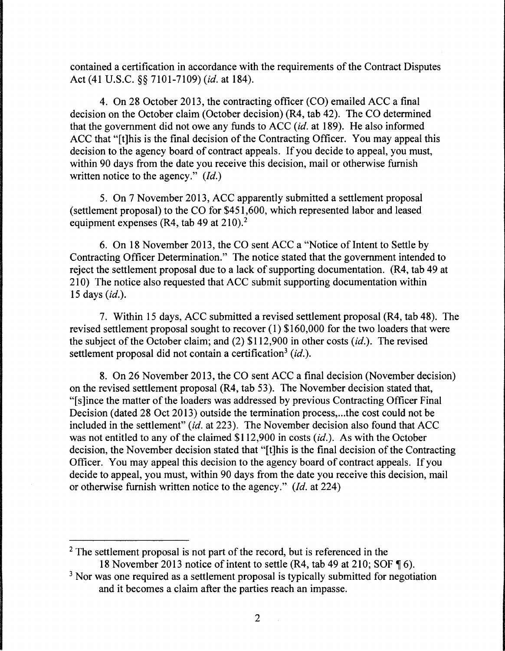contained a certification in accordance with the requirements of the Contract Disputes Act (41 U.S.C. §§ 7101-7109) *(id.* at 184).

4. On 28 October 2013, the contracting officer (CO) emailed ACC a final decision on the October claim (October decision) (R4, tab 42). The CO determined that the government did not owe any funds to ACC *(id.* at 189). He also informed ACC that "[t]his is the final decision of the Contracting Officer. You may appeal this decision to the agency board of contract appeals. If you decide to appeal, you must, within 90 days from the date you receive this decision, mail or otherwise furnish written notice to the agency." *(Id.)* 

5. On 7 November 2013, ACC apparently submitted a settlement proposal (settlement proposal) to the CO for \$451,600, which represented labor and leased equipment expenses (R4, tab 49 at 210).<sup>2</sup>

6. On 18 November 2013, the CO sent ACC a "Notice of Intent to Settle by Contracting Officer Determination." The notice stated that the government intended to reject the settlement proposal due to a lack of supporting documentation. (R4, tab 49 at 210) The notice also requested that ACC submit supporting documentation within 15 days *(id.).* 

7. Within 15 days, ACC submitted a revised settlement proposal (R4, tab 48). The revised settlement proposal sought to recover (1) \$160,000 for the two loaders that were the subject of the October claim; and (2) \$112,900 in other costs *(id.).* The revised settlement proposal did not contain a certification<sup>3</sup> (id.).

8. On 26 November 2013, the CO sent ACC a final decision (November decision) on the revised settlement proposal (R4, tab 53). The November decision stated that, "[s]ince the matter of the loaders was addressed by previous Contracting Officer Final Decision (dated 28 Oct 2013) outside the termination process, ... the cost could not be included in the settlement" *(id.* at 223). The November decision also found that ACC was not entitled to any of the claimed \$112,900 in costs *(id.).* As with the October decision, the November decision stated that "[t]his is the final decision of the Contracting Officer. You may appeal this decision to the agency board of contract appeals. If you decide to appeal, you must, within 90 days from the date you receive this decision, mail or otherwise furnish written notice to the agency." *(Id.* at 224)

<sup>2</sup> The settlement proposal is not part of the record, but is referenced in the 18 November 2013 notice of intent to settle  $(R4, tab 49$  at 210; SOF  $\P$  6).

<sup>&</sup>lt;sup>3</sup> Nor was one required as a settlement proposal is typically submitted for negotiation and it becomes a claim after the parties reach an impasse.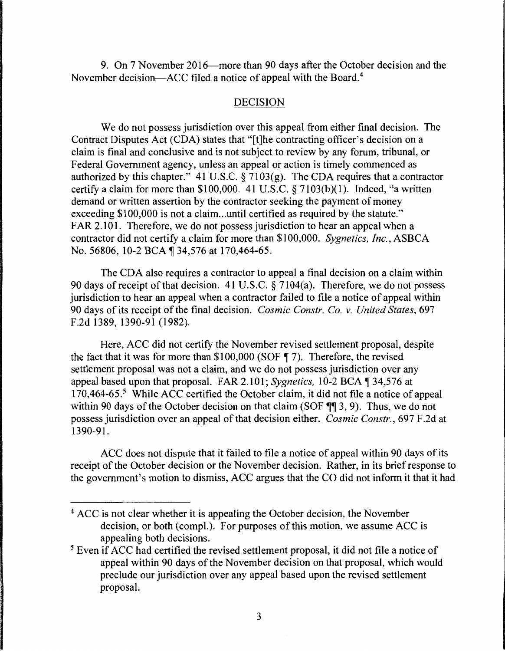9. On 7 November 2016—more than 90 days after the October decision and the November decision—ACC filed a notice of appeal with the Board.<sup>4</sup>

#### DECISION

We do not possess jurisdiction over this appeal from either final decision. The Contract Disputes Act (CDA) states that "[t]he contracting officer's decision on a claim is final and conclusive and is not subject to review by any forum, tribunal, or Federal Government agency, unless an appeal or action is timely commenced as authorized by this chapter." 41 U.S.C.  $\frac{1}{2}$  7103(g). The CDA requires that a contractor certify a claim for more than \$100,000. 41 U.S.C. § 7103(b)(l). Indeed, "a written demand or written assertion by the contractor seeking the payment of money exceeding \$100,000 is not a claim...until certified as required by the statute." FAR 2.101. Therefore, we do not possess jurisdiction to hear an appeal when a contractor did not certify a claim for more than \$100,000. *Sygnetics, Inc.,* ASBCA No. 56806, 10-2 BCA ¶ 34,576 at 170,464-65.

The CDA also requires a contractor to appeal a final decision on a claim within 90 days of receipt of that decision. 41 U.S.C.  $\frac{5}{9}$  7104(a). Therefore, we do not possess jurisdiction to hear an appeal when a contractor failed to file a notice of appeal within 90 days of its receipt of the final decision. *Cosmic Constr. Co. v. United States,* 697 F.2d 1389, 1390-91 (1982).

Here, ACC did not certify the November revised settlement proposal, despite the fact that it was for more than  $$100,000$  (SOF  $\P$  7). Therefore, the revised settlement proposal was not a claim, and we do not possess jurisdiction over any appeal based upon that proposal. FAR 2.101; *Sygnetics*, 10-2 BCA ¶ 34,576 at 170,464-65.<sup>5</sup> While ACC certified the October claim, it did not file a notice of appeal within 90 days of the October decision on that claim (SOF  $\P$  $\overline{ }$  3, 9). Thus, we do not possess jurisdiction over an appeal of that decision either. *Cosmic Constr.,* 697 F .2d at 1390-91.

ACC does not dispute that it failed to file a notice of appeal within 90 days of its receipt of the October decision or the November decision. Rather, in its brief response to the government's motion to dismiss, ACC argues that the CO did not inform it that it had

 $4$  ACC is not clear whether it is appealing the October decision, the November decision, or both (compl.). For purposes of this motion, we assume ACC is appealing both decisions.

 $<sup>5</sup>$  Even if ACC had certified the revised settlement proposal, it did not file a notice of</sup> appeal within 90 days of the November decision on that proposal, which would preclude our jurisdiction over any appeal based upon the revised settlement proposal.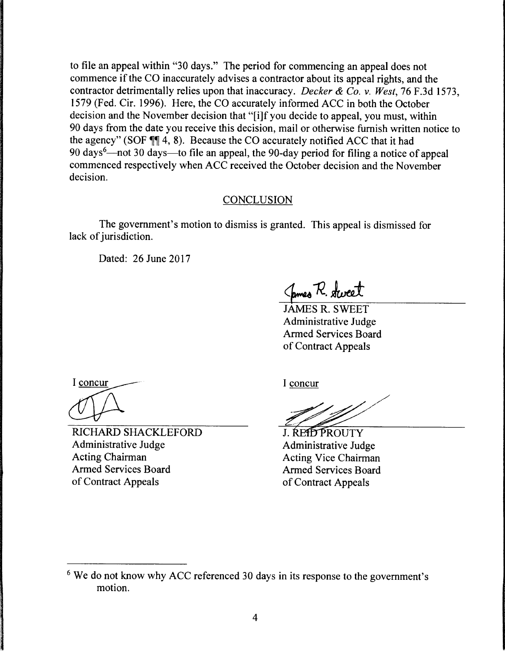to file an appeal within "30 days." The period for commencing an appeal does not commence if the CO inaccurately advises a contractor about its appeal rights, and the contractor detrimentally relies upon that inaccuracy. *Decker & Co. v. West,* 76 F.3d 1573, 1579 (Fed. Cir. 1996). Here, the CO accurately informed ACC in both the October decision and the November decision that "[i]f you decide to appeal, you must, within 90 days from the date you receive this decision, mail or otherwise furnish written notice to the agency" (SOF  $\P\P$  4, 8). Because the CO accurately notified ACC that it had 90 days<sup>6</sup>—not 30 days—to file an appeal, the 90-day period for filing a notice of appeal commenced respectively when ACC received the October decision and the November decision.

#### **CONCLUSION**

The government's motion to dismiss is granted. This appeal is dismissed for lack of jurisdiction.

Dated: 26 June 2017

James R. Sweet

JAMES R. SWEET Administrative Judge Armed Services Board of Contract Appeals

I concur

RICHARD SHACKLEFORD Administrative Judge Acting Chairman Armed Services Board of Contract Appeals

I concur

J. REID PROUTY Administrative Judge **Acting Vice Chairman Armed Services Board** of Contract Appeals

<sup>&</sup>lt;sup>6</sup> We do not know why ACC referenced 30 days in its response to the government's motion.